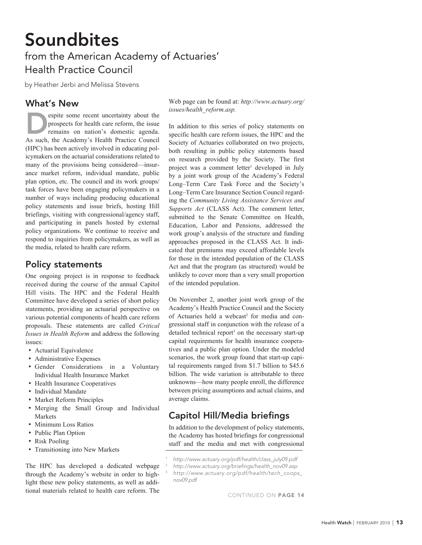# Soundbites from the American Academy of Actuaries' Health Practice Council

by Heather Jerbi and Melissa Stevens

### What's New

espite some recent uncertainty about the prospects for health care reform, the issue remains on nation's domestic agenda. As such, the Academy's Health Practice Council (HPC) has been actively involved in educating policymakers on the actuarial considerations related to many of the provisions being considered—insurance market reform, individual mandate, public plan option, etc. The council and its work groups/ task forces have been engaging policymakers in a number of ways including producing educational policy statements and issue briefs, hosting Hill briefings, visiting with congressional/agency staff, and participating in panels hosted by external policy organizations. We continue to receive and respond to inquiries from policymakers, as well as the media, related to health care reform.

#### Policy statements

One ongoing project is in response to feedback received during the course of the annual Capitol Hill visits. The HPC and the Federal Health Committee have developed a series of short policy statements, providing an actuarial perspective on various potential components of health care reform proposals. These statements are called *Critical Issues in Health Reform* and address the following issues:

- Actuarial Equivalence
- Administrative Expenses
- Gender Considerations in a Voluntary Individual Health Insurance Market
- Health Insurance Cooperatives
- Individual Mandate
- Market Reform Principles
- • Merging the Small Group and Individual Markets
- • Minimum Loss Ratios
- Public Plan Option
- Risk Pooling
- Transitioning into New Markets

The HPC has developed a dedicated webpage through the Academy's website in order to highlight these new policy statements, as well as additional materials related to health care reform. The Web page can be found at: *http://www.actuary.org/ issues/health\_reform.asp.* 

In addition to this series of policy statements on specific health care reform issues, the HPC and the Society of Actuaries collaborated on two projects, both resulting in public policy statements based on research provided by the Society. The first project was a comment letter<sup>1</sup> developed in July by a joint work group of the Academy's Federal Long–Term Care Task Force and the Society's Long–Term Care Insurance Section Council regarding the *Community Living Assistance Services and Supports Act* (CLASS Act). The comment letter, submitted to the Senate Committee on Health, Education, Labor and Pensions, addressed the work group's analysis of the structure and funding approaches proposed in the CLASS Act. It indicated that premiums may exceed affordable levels for those in the intended population of the CLASS Act and that the program (as structured) would be unlikely to cover more than a very small proportion of the intended population.

On November 2, another joint work group of the Academy's Health Practice Council and the Society of Actuaries held a webcast<sup>2</sup> for media and congressional staff in conjunction with the release of a detailed technical report<sup>3</sup> on the necessary start-up capital requirements for health insurance cooperatives and a public plan option. Under the modeled scenarios, the work group found that start-up capital requirements ranged from \$1.7 billion to \$45.6 billion. The wide variation is attributable to three unknowns—how many people enroll, the difference between pricing assumptions and actual claims, and average claims.

# Capitol Hill/Media briefings

In addition to the development of policy statements, the Academy has hosted briefings for congressional staff and the media and met with congressional

1

2

- *http://www.actuary.org/briefings/health\_nov09.asp*
- <sup>3</sup> *http://www.actuary.org/pdf/health/tech\_coops\_ nov09.pdf*

CONTINUED ON PAGE 14

*http://www.actuary.org/pdf/health/class\_july09.pdf*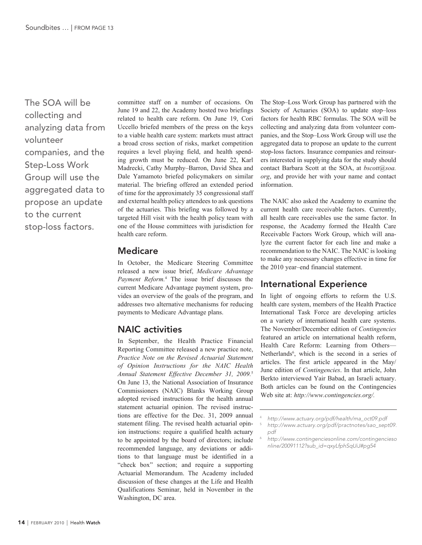The SOA will be collecting and analyzing data from volunteer companies, and the Step-Loss Work Group will use the aggregated data to propose an update to the current stop-loss factors.

committee staff on a number of occasions. On June 19 and 22, the Academy hosted two briefings related to health care reform. On June 19, Cori Uccello briefed members of the press on the keys to a viable health care system: markets must attract a broad cross section of risks, market competition requires a level playing field, and health spending growth must be reduced. On June 22, Karl Madrecki, Cathy Murphy–Barron, David Shea and Dale Yamamoto briefed policymakers on similar material. The briefing offered an extended period of time for the approximately 35 congressional staff and external health policy attendees to ask questions of the actuaries. This briefing was followed by a targeted Hill visit with the health policy team with one of the House committees with jurisdiction for health care reform.

#### Medicare

In October, the Medicare Steering Committee released a new issue brief, *Medicare Advantage Payment Reform.*<sup>4</sup> The issue brief discusses the current Medicare Advantage payment system, provides an overview of the goals of the program, and addresses two alternative mechanisms for reducing payments to Medicare Advantage plans.

# NAIC activities

In September, the Health Practice Financial Reporting Committee released a new practice note, *Practice Note on the Revised Actuarial Statement of Opinion Instructions for the NAIC Health Annual Statement Effective December 31, 2009.*<sup>5</sup> On June 13, the National Association of Insurance Commissioners (NAIC) Blanks Working Group adopted revised instructions for the health annual statement actuarial opinion. The revised instructions are effective for the Dec. 31, 2009 annual statement filing. The revised health actuarial opinion instructions: require a qualified health actuary to be appointed by the board of directors; include recommended language, any deviations or additions to that language must be identified in a "check box" section; and require a supporting Actuarial Memorandum. The Academy included discussion of these changes at the Life and Health Qualifications Seminar, held in November in the Washington, DC area.

The Stop–Loss Work Group has partnered with the Society of Actuaries (SOA) to update stop–loss factors for health RBC formulas. The SOA will be collecting and analyzing data from volunteer companies, and the Stop–Loss Work Group will use the aggregated data to propose an update to the current stop-loss factors. Insurance companies and reinsurers interested in supplying data for the study should contact Barbara Scott at the SOA, at *bscott@soa. org*, and provide her with your name and contact information.

The NAIC also asked the Academy to examine the current health care receivable factors. Currently, all health care receivables use the same factor. In response, the Academy formed the Health Care Receivable Factors Work Group, which will analyze the current factor for each line and make a recommendation to the NAIC. The NAIC is looking to make any necessary changes effective in time for the 2010 year–end financial statement.

# International Experience

In light of ongoing efforts to reform the U.S. health care system, members of the Health Practice International Task Force are developing articles on a variety of international health care systems. The November/December edition of *Contingencies* featured an article on international health reform, Health Care Reform: Learning from Others— Netherlands<sup>6</sup>, which is the second in a series of articles. The first article appeared in the May/ June edition of *Contingencies*. In that article, John Berkto interviewed Yair Babad, an Israeli actuary. Both articles can be found on the Contingencies Web site at: *http://www.contingencies.org/.* 

6

<sup>4</sup> *http://www.actuary.org/pdf/health/ma\_oct09.pdf* 5 *http://www.actuary.org/pdf/practnotes/sao\_sept09. pdf*

*http://www.contingenciesonline.com/contingencieso nline/20091112?sub\_id=qxyLfphSqUiJ#pg54*